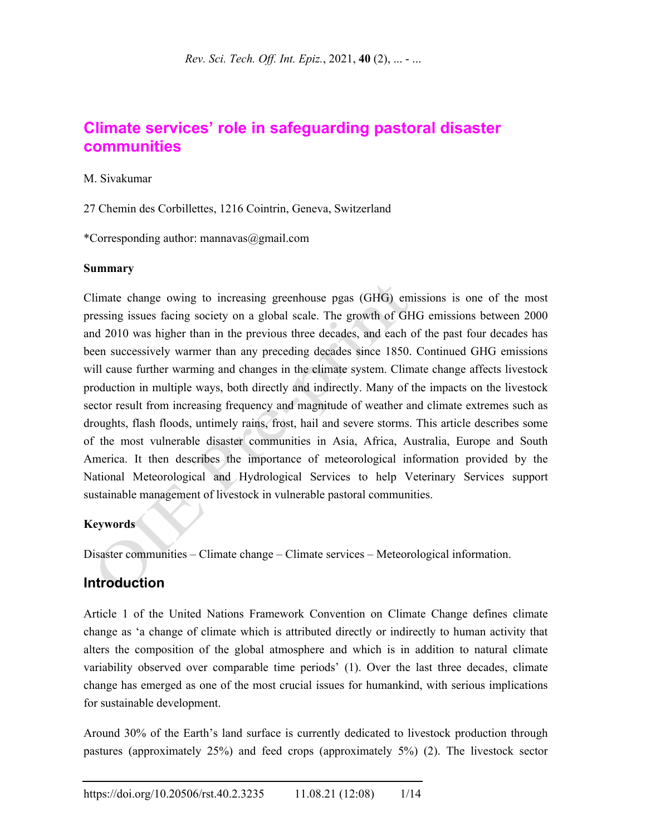# **Climate services' role in safeguarding pastoral disaster communities**

#### M. Sivakumar

27 Chemin des Corbillettes, 1216 Cointrin, Geneva, Switzerland

\*Corresponding author: mannavas@gmail.com

#### **Summary**

Climate change owing to increasing greenhouse pgas (GHG) emissions is one of the most pressing issues facing society on a global scale. The growth of GHG emissions between 2000 and 2010 was higher than in the previous three decades, and each of the past four decades has been successively warmer than any preceding decades since 1850. Continued GHG emissions will cause further warming and changes in the climate system. Climate change affects livestock production in multiple ways, both directly and indirectly. Many of the impacts on the livestock sector result from increasing frequency and magnitude of weather and climate extremes such as droughts, flash floods, untimely rains, frost, hail and severe storms. This article describes some of the most vulnerable disaster communities in Asia, Africa, Australia, Europe and South America. It then describes the importance of meteorological information provided by the National Meteorological and Hydrological Services to help Veterinary Services support sustainable management of livestock in vulnerable pastoral communities.

#### **Keywords**

Disaster communities – Climate change – Climate services – Meteorological information.

## **Introduction**

Article 1 of the United Nations Framework Convention on Climate Change defines climate change as 'a change of climate which is attributed directly or indirectly to human activity that alters the composition of the global atmosphere and which is in addition to natural climate variability observed over comparable time periods' (1). Over the last three decades, climate change has emerged as one of the most crucial issues for humankind, with serious implications for sustainable development.

Around 30% of the Earth's land surface is currently dedicated to livestock production through pastures (approximately 25%) and feed crops (approximately 5%) (2). The livestock sector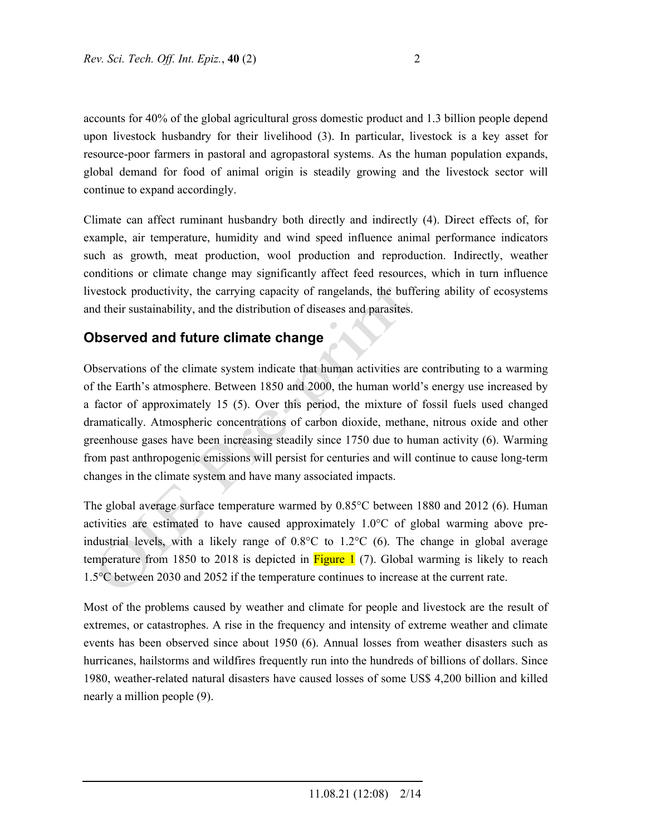accounts for 40% of the global agricultural gross domestic product and 1.3 billion people depend upon livestock husbandry for their livelihood (3). In particular, livestock is a key asset for resource-poor farmers in pastoral and agropastoral systems. As the human population expands, global demand for food of animal origin is steadily growing and the livestock sector will continue to expand accordingly.

Climate can affect ruminant husbandry both directly and indirectly (4). Direct effects of, for example, air temperature, humidity and wind speed influence animal performance indicators such as growth, meat production, wool production and reproduction. Indirectly, weather conditions or climate change may significantly affect feed resources, which in turn influence livestock productivity, the carrying capacity of rangelands, the buffering ability of ecosystems and their sustainability, and the distribution of diseases and parasites.

## **Observed and future climate change**

Observations of the climate system indicate that human activities are contributing to a warming of the Earth's atmosphere. Between 1850 and 2000, the human world's energy use increased by a factor of approximately 15 (5). Over this period, the mixture of fossil fuels used changed dramatically. Atmospheric concentrations of carbon dioxide, methane, nitrous oxide and other greenhouse gases have been increasing steadily since 1750 due to human activity (6). Warming from past anthropogenic emissions will persist for centuries and will continue to cause long-term changes in the climate system and have many associated impacts.

The global average surface temperature warmed by 0.85°C between 1880 and 2012 (6). Human activities are estimated to have caused approximately 1.0°C of global warming above preindustrial levels, with a likely range of 0.8°C to 1.2°C (6). The change in global average temperature from 1850 to 2018 is depicted in  $Figure 1$  (7). Global warming is likely to reach 1.5°C between 2030 and 2052 if the temperature continues to increase at the current rate.

Most of the problems caused by weather and climate for people and livestock are the result of extremes, or catastrophes. A rise in the frequency and intensity of extreme weather and climate events has been observed since about 1950 (6). Annual losses from weather disasters such as hurricanes, hailstorms and wildfires frequently run into the hundreds of billions of dollars. Since 1980, weather-related natural disasters have caused losses of some US\$ 4,200 billion and killed nearly a million people (9).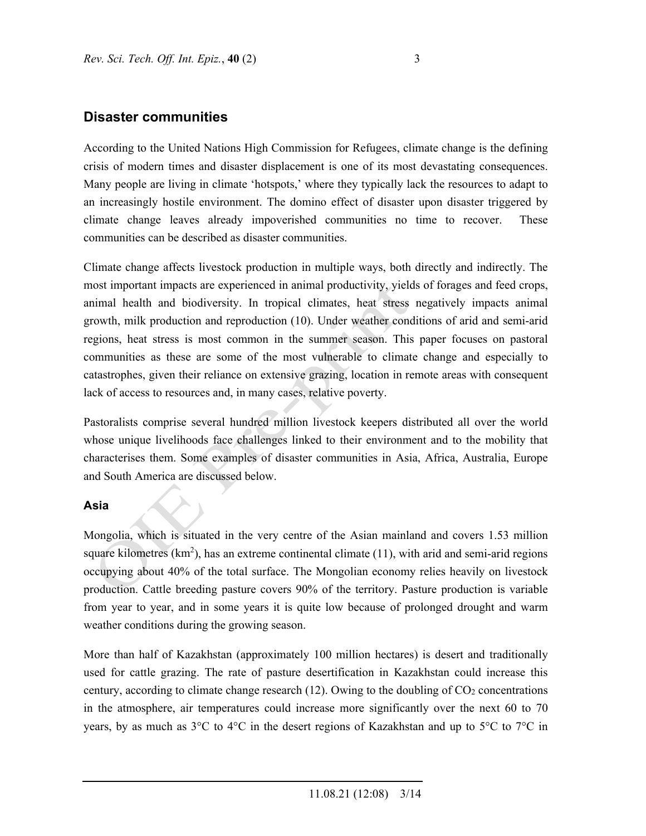## **Disaster communities**

According to the United Nations High Commission for Refugees, climate change is the defining crisis of modern times and disaster displacement is one of its most devastating consequences. Many people are living in climate 'hotspots,' where they typically lack the resources to adapt to an increasingly hostile environment. The domino effect of disaster upon disaster triggered by climate change leaves already impoverished communities no time to recover. These communities can be described as disaster communities.

Climate change affects livestock production in multiple ways, both directly and indirectly. The most important impacts are experienced in animal productivity, yields of forages and feed crops, animal health and biodiversity. In tropical climates, heat stress negatively impacts animal growth, milk production and reproduction (10). Under weather conditions of arid and semi-arid regions, heat stress is most common in the summer season. This paper focuses on pastoral communities as these are some of the most vulnerable to climate change and especially to catastrophes, given their reliance on extensive grazing, location in remote areas with consequent lack of access to resources and, in many cases, relative poverty.

Pastoralists comprise several hundred million livestock keepers distributed all over the world whose unique livelihoods face challenges linked to their environment and to the mobility that characterises them. Some examples of disaster communities in Asia, Africa, Australia, Europe and South America are discussed below.

### **Asia**

Mongolia, which is situated in the very centre of the Asian mainland and covers 1.53 million square kilometres  $(km^2)$ , has an extreme continental climate (11), with arid and semi-arid regions occupying about 40% of the total surface. The Mongolian economy relies heavily on livestock production. Cattle breeding pasture covers 90% of the territory. Pasture production is variable from year to year, and in some years it is quite low because of prolonged drought and warm weather conditions during the growing season.

More than half of Kazakhstan (approximately 100 million hectares) is desert and traditionally used for cattle grazing. The rate of pasture desertification in Kazakhstan could increase this century, according to climate change research  $(12)$ . Owing to the doubling of  $CO<sub>2</sub>$  concentrations in the atmosphere, air temperatures could increase more significantly over the next 60 to 70 years, by as much as 3°C to 4°C in the desert regions of Kazakhstan and up to 5°C to 7°C in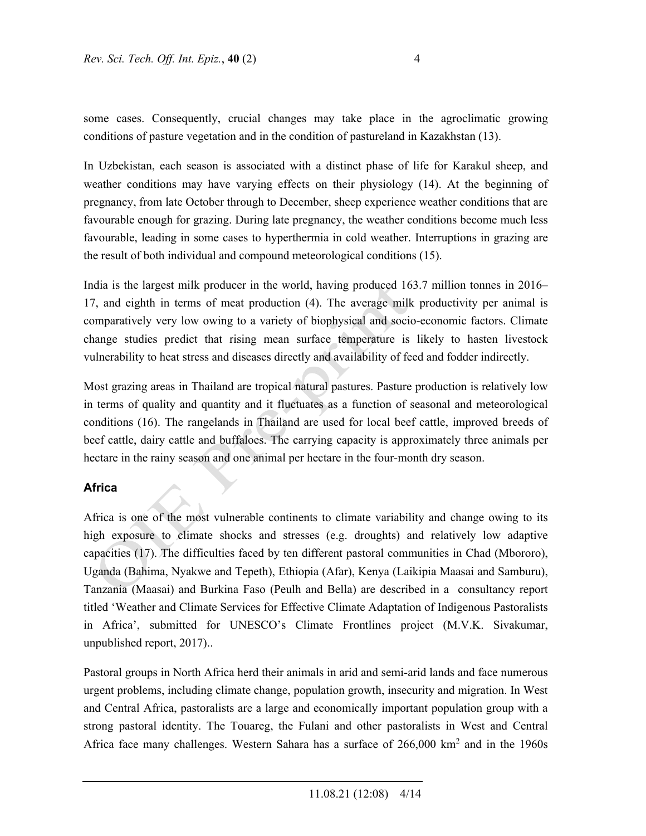some cases. Consequently, crucial changes may take place in the agroclimatic growing conditions of pasture vegetation and in the condition of pastureland in Kazakhstan (13).

In Uzbekistan, each season is associated with a distinct phase of life for Karakul sheep, and weather conditions may have varying effects on their physiology (14). At the beginning of pregnancy, from late October through to December, sheep experience weather conditions that are favourable enough for grazing. During late pregnancy, the weather conditions become much less favourable, leading in some cases to hyperthermia in cold weather. Interruptions in grazing are the result of both individual and compound meteorological conditions (15).

India is the largest milk producer in the world, having produced 163.7 million tonnes in 2016– 17, and eighth in terms of meat production (4). The average milk productivity per animal is comparatively very low owing to a variety of biophysical and socio-economic factors. Climate change studies predict that rising mean surface temperature is likely to hasten livestock vulnerability to heat stress and diseases directly and availability of feed and fodder indirectly.

Most grazing areas in Thailand are tropical natural pastures. Pasture production is relatively low in terms of quality and quantity and it fluctuates as a function of seasonal and meteorological conditions (16). The rangelands in Thailand are used for local beef cattle, improved breeds of beef cattle, dairy cattle and buffaloes. The carrying capacity is approximately three animals per hectare in the rainy season and one animal per hectare in the four-month dry season.

### **Africa**

Africa is one of the most vulnerable continents to climate variability and change owing to its high exposure to climate shocks and stresses (e.g. droughts) and relatively low adaptive capacities (17). The difficulties faced by ten different pastoral communities in Chad (Mbororo), Uganda (Bahima, Nyakwe and Tepeth), Ethiopia (Afar), Kenya (Laikipia Maasai and Samburu), Tanzania (Maasai) and Burkina Faso (Peulh and Bella) are described in a consultancy report titled 'Weather and Climate Services for Effective Climate Adaptation of Indigenous Pastoralists in Africa', submitted for UNESCO's Climate Frontlines project (M.V.K. Sivakumar, unpublished report, 2017)..

Pastoral groups in North Africa herd their animals in arid and semi-arid lands and face numerous urgent problems, including climate change, population growth, insecurity and migration. In West and Central Africa, pastoralists are a large and economically important population group with a strong pastoral identity. The Touareg, the Fulani and other pastoralists in West and Central Africa face many challenges. Western Sahara has a surface of  $266,000 \text{ km}^2$  and in the 1960s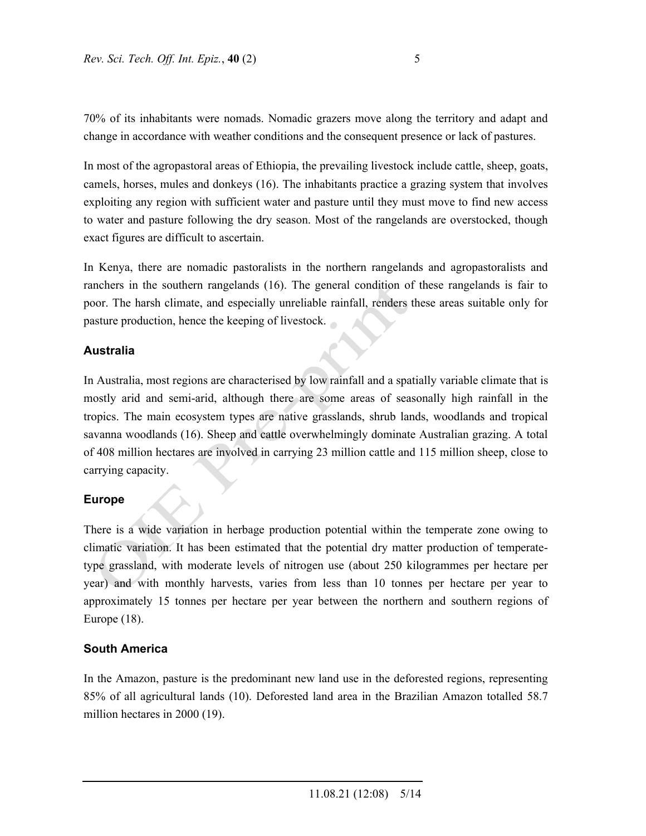70% of its inhabitants were nomads. Nomadic grazers move along the territory and adapt and change in accordance with weather conditions and the consequent presence or lack of pastures.

In most of the agropastoral areas of Ethiopia, the prevailing livestock include cattle, sheep, goats, camels, horses, mules and donkeys (16). The inhabitants practice a grazing system that involves exploiting any region with sufficient water and pasture until they must move to find new access to water and pasture following the dry season. Most of the rangelands are overstocked, though exact figures are difficult to ascertain.

In Kenya, there are nomadic pastoralists in the northern rangelands and agropastoralists and ranchers in the southern rangelands (16). The general condition of these rangelands is fair to poor. The harsh climate, and especially unreliable rainfall, renders these areas suitable only for pasture production, hence the keeping of livestock.

#### **Australia**

In Australia, most regions are characterised by low rainfall and a spatially variable climate that is mostly arid and semi-arid, although there are some areas of seasonally high rainfall in the tropics. The main ecosystem types are native grasslands, shrub lands, woodlands and tropical savanna woodlands (16). Sheep and cattle overwhelmingly dominate Australian grazing. A total of 408 million hectares are involved in carrying 23 million cattle and 115 million sheep, close to carrying capacity.

#### **Europe**

There is a wide variation in herbage production potential within the temperate zone owing to climatic variation. It has been estimated that the potential dry matter production of temperatetype grassland, with moderate levels of nitrogen use (about 250 kilogrammes per hectare per year) and with monthly harvests, varies from less than 10 tonnes per hectare per year to approximately 15 tonnes per hectare per year between the northern and southern regions of Europe (18).

#### **South America**

In the Amazon, pasture is the predominant new land use in the deforested regions, representing 85% of all agricultural lands (10). Deforested land area in the Brazilian Amazon totalled 58.7 million hectares in 2000 (19).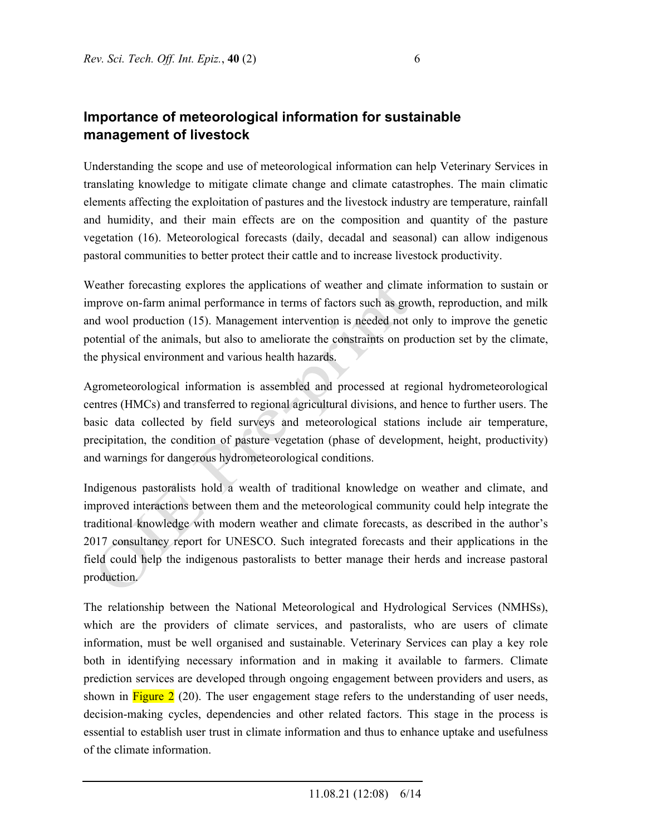# **Importance of meteorological information for sustainable management of livestock**

Understanding the scope and use of meteorological information can help Veterinary Services in translating knowledge to mitigate climate change and climate catastrophes. The main climatic elements affecting the exploitation of pastures and the livestock industry are temperature, rainfall and humidity, and their main effects are on the composition and quantity of the pasture vegetation (16). Meteorological forecasts (daily, decadal and seasonal) can allow indigenous pastoral communities to better protect their cattle and to increase livestock productivity.

Weather forecasting explores the applications of weather and climate information to sustain or improve on-farm animal performance in terms of factors such as growth, reproduction, and milk and wool production (15). Management intervention is needed not only to improve the genetic potential of the animals, but also to ameliorate the constraints on production set by the climate, the physical environment and various health hazards.

Agrometeorological information is assembled and processed at regional hydrometeorological centres (HMCs) and transferred to regional agricultural divisions, and hence to further users. The basic data collected by field surveys and meteorological stations include air temperature, precipitation, the condition of pasture vegetation (phase of development, height, productivity) and warnings for dangerous hydrometeorological conditions.

Indigenous pastoralists hold a wealth of traditional knowledge on weather and climate, and improved interactions between them and the meteorological community could help integrate the traditional knowledge with modern weather and climate forecasts, as described in the author's 2017 consultancy report for UNESCO. Such integrated forecasts and their applications in the field could help the indigenous pastoralists to better manage their herds and increase pastoral production.

The relationship between the National Meteorological and Hydrological Services (NMHSs), which are the providers of climate services, and pastoralists, who are users of climate information, must be well organised and sustainable. Veterinary Services can play a key role both in identifying necessary information and in making it available to farmers. Climate prediction services are developed through ongoing engagement between providers and users, as shown in  $Figure 2$  (20). The user engagement stage refers to the understanding of user needs, decision-making cycles, dependencies and other related factors. This stage in the process is essential to establish user trust in climate information and thus to enhance uptake and usefulness of the climate information.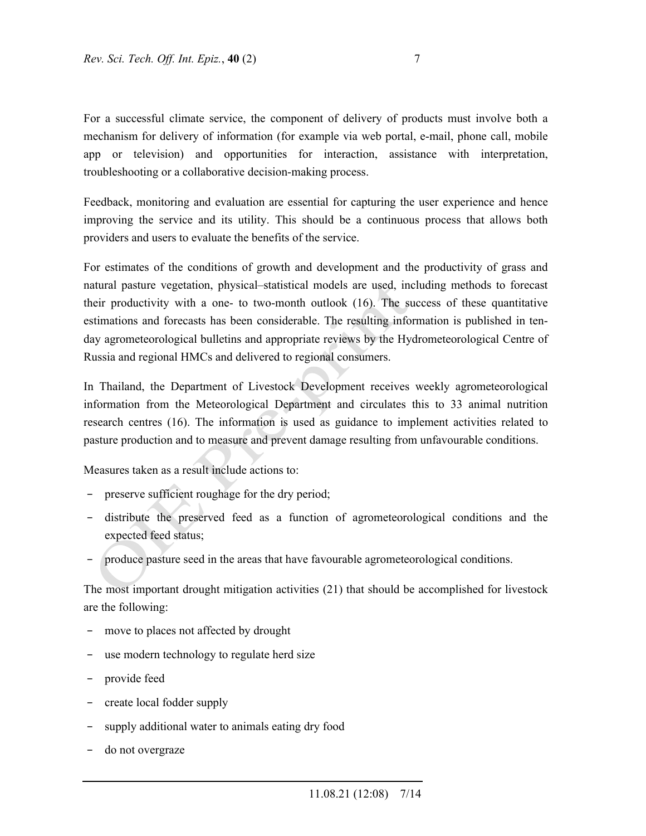For a successful climate service, the component of delivery of products must involve both a mechanism for delivery of information (for example via web portal, e-mail, phone call, mobile app or television) and opportunities for interaction, assistance with interpretation, troubleshooting or a collaborative decision-making process.

Feedback, monitoring and evaluation are essential for capturing the user experience and hence improving the service and its utility. This should be a continuous process that allows both providers and users to evaluate the benefits of the service.

For estimates of the conditions of growth and development and the productivity of grass and natural pasture vegetation, physical–statistical models are used, including methods to forecast their productivity with a one- to two-month outlook (16). The success of these quantitative estimations and forecasts has been considerable. The resulting information is published in tenday agrometeorological bulletins and appropriate reviews by the Hydrometeorological Centre of Russia and regional HMCs and delivered to regional consumers.

In Thailand, the Department of Livestock Development receives weekly agrometeorological information from the Meteorological Department and circulates this to 33 animal nutrition research centres (16). The information is used as guidance to implement activities related to pasture production and to measure and prevent damage resulting from unfavourable conditions.

Measures taken as a result include actions to:

- preserve sufficient roughage for the dry period;
- − distribute the preserved feed as a function of agrometeorological conditions and the expected feed status;
- produce pasture seed in the areas that have favourable agrometeorological conditions.

The most important drought mitigation activities (21) that should be accomplished for livestock are the following:

- move to places not affected by drought
- use modern technology to regulate herd size
- provide feed
- − create local fodder supply
- supply additional water to animals eating dry food
- − do not overgraze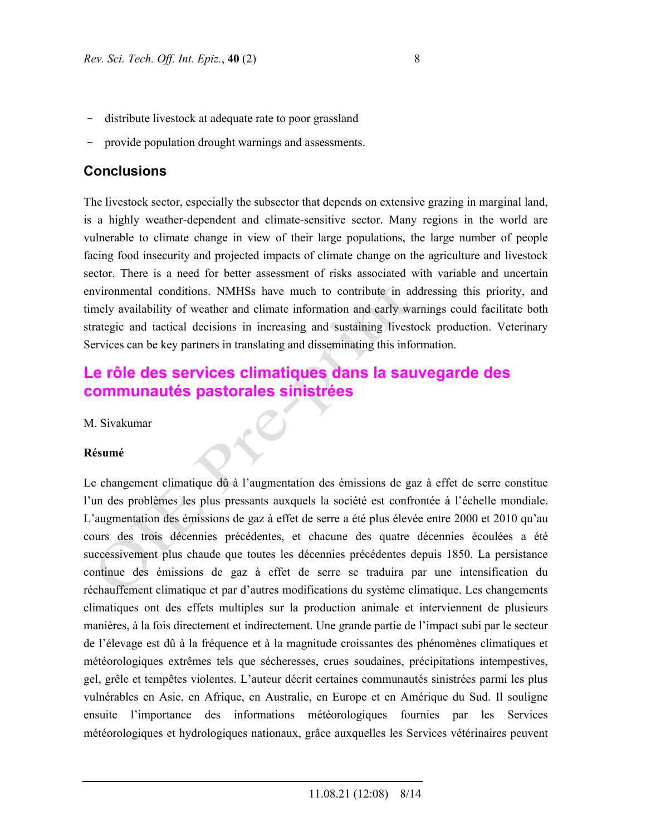- distribute livestock at adequate rate to poor grassland
- provide population drought warnings and assessments.

### **Conclusions**

The livestock sector, especially the subsector that depends on extensive grazing in marginal land, is a highly weather-dependent and climate-sensitive sector. Many regions in the world are vulnerable to climate change in view of their large populations, the large number of people facing food insecurity and projected impacts of climate change on the agriculture and livestock sector. There is a need for better assessment of risks associated with variable and uncertain environmental conditions. NMHSs have much to contribute in addressing this priority, and timely availability of weather and climate information and early warnings could facilitate both strategic and tactical decisions in increasing and sustaining livestock production. Veterinary Services can be key partners in translating and disseminating this information.

# **Le rôle des services climatiques dans la sauvegarde des communautés pastorales sinistrées**

M. Sivakumar

#### **Résumé**

Le changement climatique dû à l'augmentation des émissions de gaz à effet de serre constitue l'un des problèmes les plus pressants auxquels la société est confrontée à l'échelle mondiale. L'augmentation des émissions de gaz à effet de serre a été plus élevée entre 2000 et 2010 qu'au cours des trois décennies précédentes, et chacune des quatre décennies écoulées a été successivement plus chaude que toutes les décennies précédentes depuis 1850. La persistance continue des émissions de gaz à effet de serre se traduira par une intensification du réchauffement climatique et par d'autres modifications du système climatique. Les changements climatiques ont des effets multiples sur la production animale et interviennent de plusieurs manières, à la fois directement et indirectement. Une grande partie de l'impact subi par le secteur de l'élevage est dû à la fréquence et à la magnitude croissantes des phénomènes climatiques et météorologiques extrêmes tels que sécheresses, crues soudaines, précipitations intempestives, gel, grêle et tempêtes violentes. L'auteur décrit certaines communautés sinistrées parmi les plus vulnérables en Asie, en Afrique, en Australie, en Europe et en Amérique du Sud. Il souligne ensuite l'importance des informations météorologiques fournies par les Services météorologiques et hydrologiques nationaux, grâce auxquelles les Services vétérinaires peuvent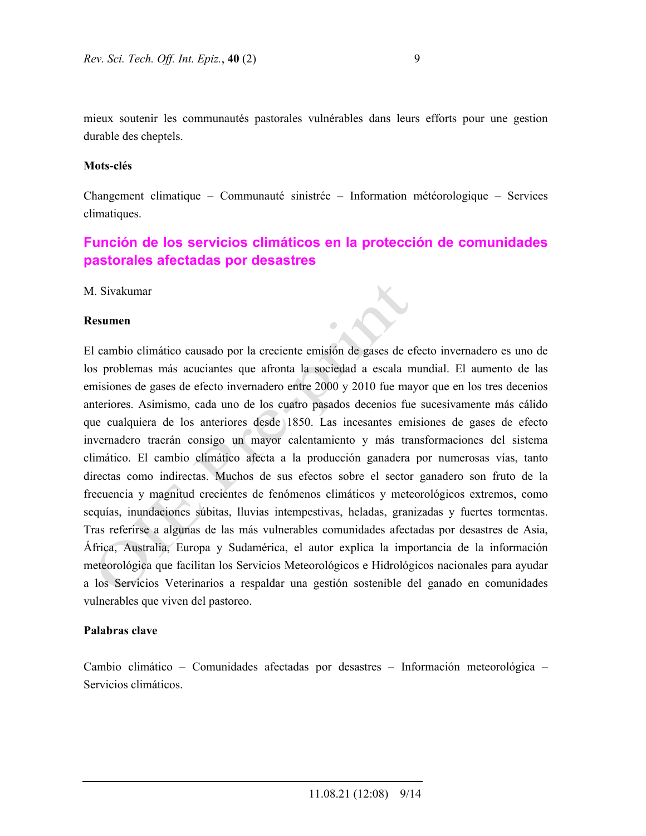mieux soutenir les communautés pastorales vulnérables dans leurs efforts pour une gestion durable des cheptels.

#### **Mots-clés**

Changement climatique – Communauté sinistrée – Information météorologique – Services climatiques.

# **Función de los servicios climáticos en la protección de comunidades pastorales afectadas por desastres**

 $\mathbf{r}$ 

M. Sivakumar

#### **Resumen**

El cambio climático causado por la creciente emisión de gases de efecto invernadero es uno de los problemas más acuciantes que afronta la sociedad a escala mundial. El aumento de las emisiones de gases de efecto invernadero entre 2000 y 2010 fue mayor que en los tres decenios anteriores. Asimismo, cada uno de los cuatro pasados decenios fue sucesivamente más cálido que cualquiera de los anteriores desde 1850. Las incesantes emisiones de gases de efecto invernadero traerán consigo un mayor calentamiento y más transformaciones del sistema climático. El cambio climático afecta a la producción ganadera por numerosas vías, tanto directas como indirectas. Muchos de sus efectos sobre el sector ganadero son fruto de la frecuencia y magnitud crecientes de fenómenos climáticos y meteorológicos extremos, como sequías, inundaciones súbitas, lluvias intempestivas, heladas, granizadas y fuertes tormentas. Tras referirse a algunas de las más vulnerables comunidades afectadas por desastres de Asia, África, Australia, Europa y Sudamérica, el autor explica la importancia de la información meteorológica que facilitan los Servicios Meteorológicos e Hidrológicos nacionales para ayudar a los Servicios Veterinarios a respaldar una gestión sostenible del ganado en comunidades vulnerables que viven del pastoreo.

#### **Palabras clave**

Cambio climático – Comunidades afectadas por desastres – Información meteorológica – Servicios climáticos.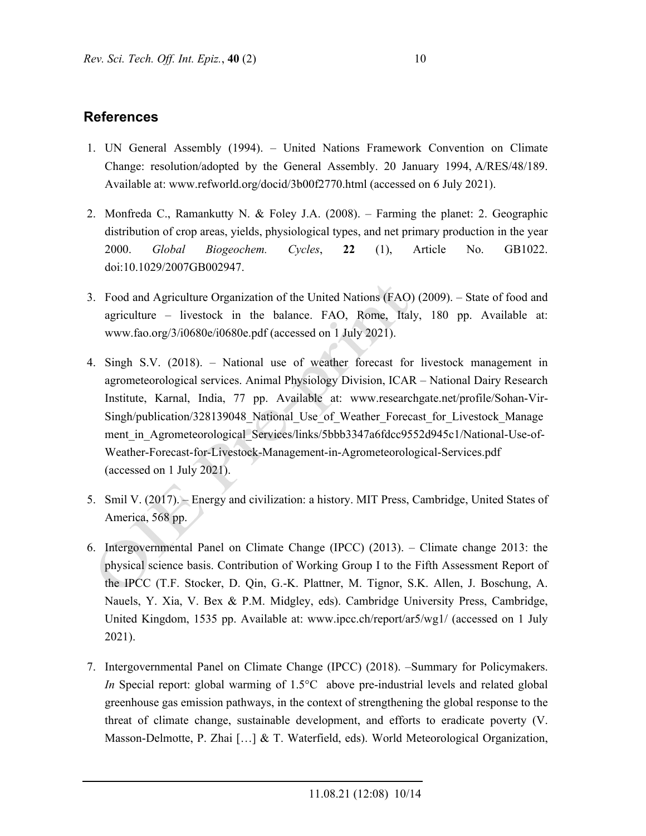# **References**

- 1. UN General Assembly (1994). United Nations Framework Convention on Climate Change: resolution/adopted by the General Assembly. 20 January 1994, A/RES/48/189. Available at: www.refworld.org/docid/3b00f2770.html (accessed on 6 July 2021).
- 2. Monfreda C., Ramankutty N. & Foley J.A. (2008). Farming the planet: 2. Geographic distribution of crop areas, yields, physiological types, and net primary production in the year 2000. *Global Biogeochem. Cycles*, **22** (1), Article No. GB1022. doi:10.1029/2007GB002947.
- 3. Food and Agriculture Organization of the United Nations (FAO) (2009). State of food and agriculture – livestock in the balance. FAO, Rome, Italy, 180 pp. Available at: www.fao.org/3/i0680e/i0680e.pdf (accessed on 1 July 2021).
- 4. Singh S.V. (2018). National use of weather forecast for livestock management in agrometeorological services. Animal Physiology Division, ICAR – National Dairy Research Institute, Karnal, India, 77 pp. Available at: www.researchgate.net/profile/Sohan-Vir-Singh/publication/328139048 National Use of Weather Forecast for Livestock Manage ment in Agrometeorological Services/links/5bbb3347a6fdcc9552d945c1/National-Use-of-Weather-Forecast-for-Livestock-Management-in-Agrometeorological-Services.pdf (accessed on 1 July 2021).
- 5. Smil V. (2017). Energy and civilization: a history. MIT Press, Cambridge, United States of America, 568 pp.
- 6. Intergovernmental Panel on Climate Change (IPCC) (2013). Climate change 2013: the physical science basis. Contribution of Working Group I to the Fifth Assessment Report of the IPCC (T.F. Stocker, D. Qin, G.-K. Plattner, M. Tignor, S.K. Allen, J. Boschung, A. Nauels, Y. Xia, V. Bex & P.M. Midgley, eds). Cambridge University Press, Cambridge, United Kingdom, 1535 pp. Available at: www.ipcc.ch/report/ar5/wg1/ (accessed on 1 July 2021).
- 7. Intergovernmental Panel on Climate Change (IPCC) (2018). –Summary for Policymakers. *In* Special report: global warming of 1.5°C above pre-industrial levels and related global greenhouse gas emission pathways, in the context of strengthening the global response to the threat of climate change, sustainable development, and efforts to eradicate poverty (V. Masson-Delmotte, P. Zhai […] & T. Waterfield, eds). World Meteorological Organization,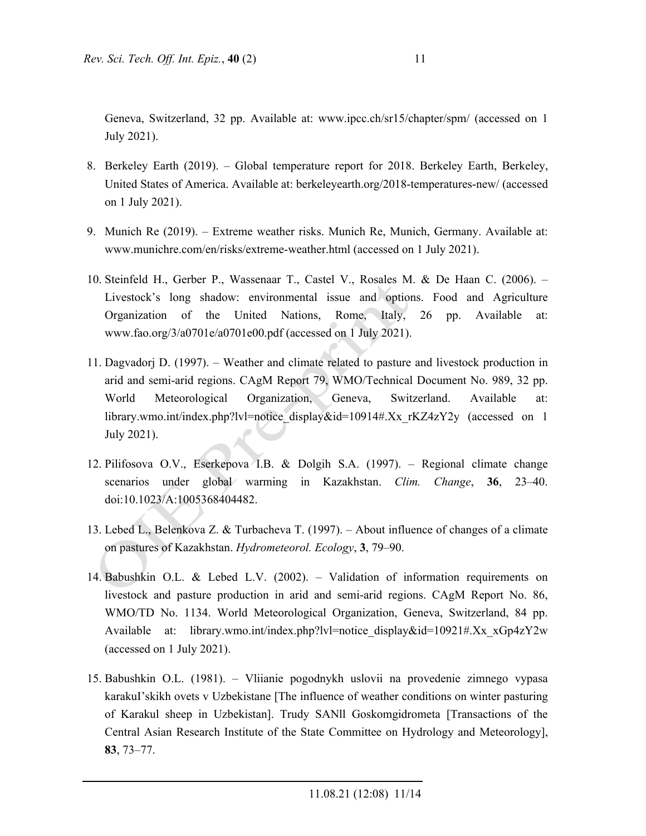Geneva, Switzerland, 32 pp. Available at: www.ipcc.ch/sr15/chapter/spm/ (accessed on 1 July 2021).

- 8. Berkeley Earth (2019). Global temperature report for 2018. Berkeley Earth, Berkeley, United States of America. Available at: berkeleyearth.org/2018-temperatures-new/ (accessed on 1 July 2021).
- 9. Munich Re (2019). Extreme weather risks. Munich Re, Munich, Germany. Available at: www.munichre.com/en/risks/extreme-weather.html (accessed on 1 July 2021).
- 10. Steinfeld H., Gerber P., Wassenaar T., Castel V., Rosales M. & De Haan C. (2006). Livestock's long shadow: environmental issue and options. Food and Agriculture Organization of the United Nations, Rome, Italy, 26 pp. Available at: www.fao.org/3/a0701e/a0701e00.pdf (accessed on 1 July 2021).
- 11. Dagvadorj D. (1997). Weather and climate related to pasture and livestock production in arid and semi-arid regions. CAgM Report 79, WMO/Technical Document No. 989, 32 pp. World Meteorological Organization, Geneva, Switzerland. Available at: library.wmo.int/index.php?lvl=notice\_display&id=10914#.Xx\_rKZ4zY2y (accessed on 1 July 2021).
- 12. Pilifosova O.V., Eserkepova I.B. & Dolgih S.A. (1997). Regional climate change scenarios under global warming in Kazakhstan. *Clim. Change*, **36**, 23–40. doi:10.1023/A:1005368404482.
- 13. Lebed L., Belenkova Z. & Turbacheva T. (1997). About influence of changes of a climate on pastures of Kazakhstan. *Hydrometeorol. Ecology*, **3**, 79–90.
- 14. Babushkin O.L. & Lebed L.V. (2002). Validation of information requirements on livestock and pasture production in arid and semi-arid regions. CAgM Report No. 86, WMO/TD No. 1134. World Meteorological Organization, Geneva, Switzerland, 84 pp. Available at: library.wmo.int/index.php?lvl=notice\_display&id=10921#.Xx\_xGp4zY2w (accessed on 1 July 2021).
- 15. Babushkin O.L. (1981). Vliianie pogodnykh uslovii na provedenie zimnego vypasa karakuI'skikh ovets v Uzbekistane [The influence of weather conditions on winter pasturing of Karakul sheep in Uzbekistan]. Trudy SANll Goskomgidrometa [Transactions of the Central Asian Research Institute of the State Committee on Hydrology and Meteorology], **83**, 73–77.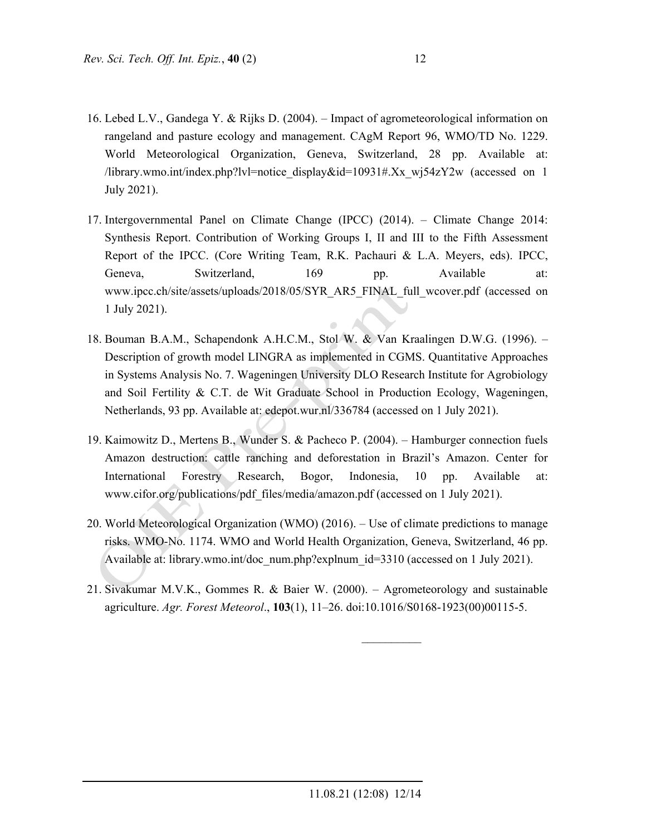- 16. Lebed L.V., Gandega Y. & Rijks D. (2004). Impact of agrometeorological information on rangeland and pasture ecology and management. CAgM Report 96, WMO/TD No. 1229. World Meteorological Organization, Geneva, Switzerland, 28 pp. Available at: /library.wmo.int/index.php?lvl=notice\_display&id=10931#.Xx\_wj54zY2w (accessed on 1 July 2021).
- 17. Intergovernmental Panel on Climate Change (IPCC) (2014). Climate Change 2014: Synthesis Report. Contribution of Working Groups I, II and III to the Fifth Assessment Report of the IPCC. (Core Writing Team, R.K. Pachauri & L.A. Meyers, eds). IPCC, Geneva, Switzerland, 169 pp. Available at: www.ipcc.ch/site/assets/uploads/2018/05/SYR\_AR5\_FINAL\_full\_wcover.pdf (accessed on 1 July 2021).
- 18. Bouman B.A.M., Schapendonk A.H.C.M., Stol W. & Van Kraalingen D.W.G. (1996). Description of growth model LINGRA as implemented in CGMS. Quantitative Approaches in Systems Analysis No. 7. Wageningen University DLO Research Institute for Agrobiology and Soil Fertility & C.T. de Wit Graduate School in Production Ecology, Wageningen, Netherlands, 93 pp. Available at: edepot.wur.nl/336784 (accessed on 1 July 2021).

 $\sqrt{3}$ 

- 19. Kaimowitz D., Mertens B., Wunder S. & Pacheco P. (2004). Hamburger connection fuels Amazon destruction: cattle ranching and deforestation in Brazil's Amazon. Center for International Forestry Research, Bogor, Indonesia, 10 pp. Available at: www.cifor.org/publications/pdf\_files/media/amazon.pdf (accessed on 1 July 2021).
- 20. World Meteorological Organization (WMO) (2016). Use of climate predictions to manage risks. WMO-No. 1174. WMO and World Health Organization, Geneva, Switzerland, 46 pp. Available at: library.wmo.int/doc\_num.php?explnum\_id=3310 (accessed on 1 July 2021).
- 21. Sivakumar M.V.K., Gommes R. & Baier W. (2000). Agrometeorology and sustainable agriculture. *Agr. Forest Meteorol*., **103**(1), 11–26. doi:10.1016/S0168-1923(00)00115-5.

 $\mathcal{L}_\text{max}$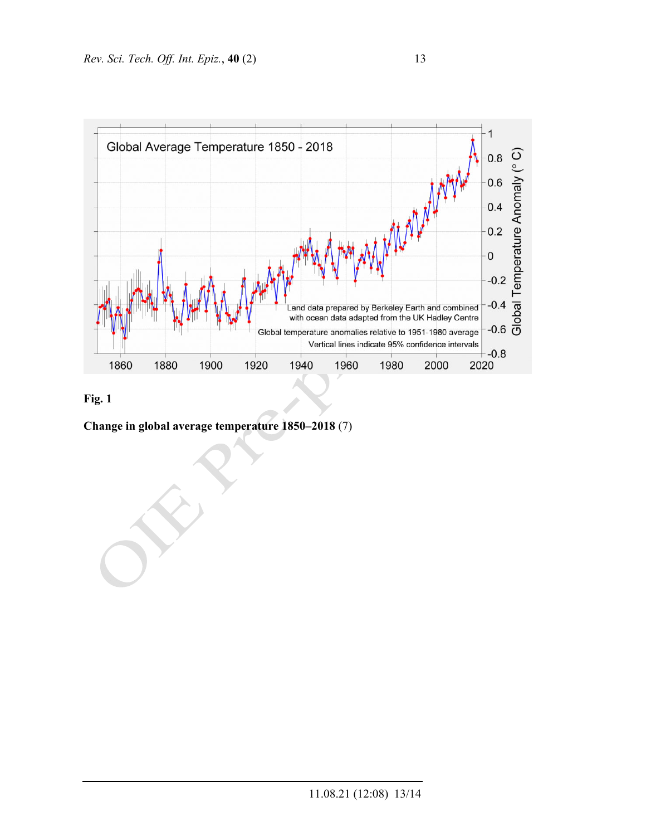



**Change in global average temperature 1850–2018** (7)